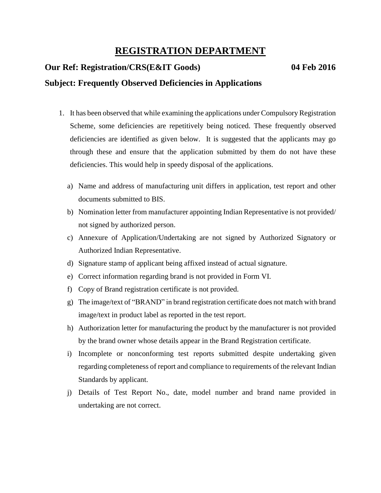## **REGISTRATION DEPARTMENT**

## **Our Ref: Registration/CRS(E&IT Goods) 04 Feb 2016**

## **Subject: Frequently Observed Deficiencies in Applications**

- 1. It has been observed that while examining the applications under Compulsory Registration Scheme, some deficiencies are repetitively being noticed. These frequently observed deficiencies are identified as given below. It is suggested that the applicants may go through these and ensure that the application submitted by them do not have these deficiencies. This would help in speedy disposal of the applications.
	- a) Name and address of manufacturing unit differs in application, test report and other documents submitted to BIS.
	- b) Nomination letter from manufacturer appointing Indian Representative is not provided/ not signed by authorized person.
	- c) Annexure of Application/Undertaking are not signed by Authorized Signatory or Authorized Indian Representative.
	- d) Signature stamp of applicant being affixed instead of actual signature.
	- e) Correct information regarding brand is not provided in Form VI.
	- f) Copy of Brand registration certificate is not provided.
	- g) The image/text of "BRAND" in brand registration certificate does not match with brand image/text in product label as reported in the test report.
	- h) Authorization letter for manufacturing the product by the manufacturer is not provided by the brand owner whose details appear in the Brand Registration certificate.
	- i) Incomplete or nonconforming test reports submitted despite undertaking given regarding completeness of report and compliance to requirements of the relevant Indian Standards by applicant.
	- j) Details of Test Report No., date, model number and brand name provided in undertaking are not correct.